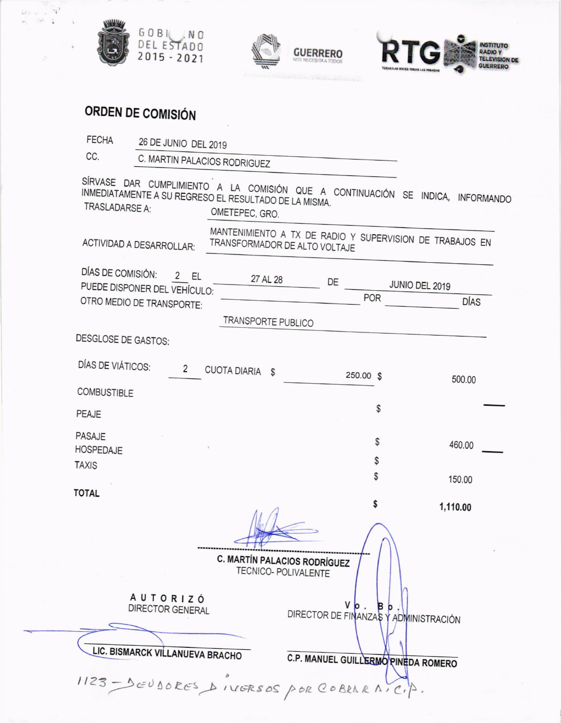





## ORDEN DE COMISIÓN

| <b>FECHA</b>                      | 26 DE JUNIO DEL 2019                                                   |                               |                                                                                   |           |                                                                                 |
|-----------------------------------|------------------------------------------------------------------------|-------------------------------|-----------------------------------------------------------------------------------|-----------|---------------------------------------------------------------------------------|
| CC.                               | C. MARTIN PALACIOS RODRIGUEZ                                           |                               |                                                                                   |           |                                                                                 |
| TRASLADARSE A:                    | INMEDIATAMENTE A SU REGRESO EL RESULTADO DE LA MISMA.                  | OMETEPEC, GRO.                |                                                                                   |           | SÍRVASE DAR CUMPLIMIENTO A LA COMISIÓN QUE A CONTINUACIÓN SE INDICA, INFORMANDO |
| ACTIVIDAD A DESARROLLAR:          |                                                                        | TRANSFORMADOR DE ALTO VOLTAJE |                                                                                   |           | MANTENIMIENTO A TX DE RADIO Y SUPERVISION DE TRABAJOS EN                        |
| DÍAS DE COMISIÓN:                 | 2 EL<br>PUEDE DISPONER DEL VEHÍCULO:<br>OTRO MEDIO DE TRANSPORTE:      | 27 AL 28                      | DE                                                                                | POR       | JUNIO DEL 2019<br><b>DÍAS</b>                                                   |
|                                   |                                                                        | TRANSPORTE PUBLICO            |                                                                                   |           |                                                                                 |
| <b>DESGLOSE DE GASTOS:</b>        |                                                                        |                               |                                                                                   |           |                                                                                 |
| DÍAS DE VIÁTICOS:                 | 2                                                                      | CUOTA DIARIA \$               |                                                                                   | 250.00 \$ | 500.00                                                                          |
| <b>COMBUSTIBLE</b>                |                                                                        |                               |                                                                                   |           |                                                                                 |
| PEAJE                             |                                                                        |                               |                                                                                   | \$        |                                                                                 |
| <b>PASAJE</b><br><b>HOSPEDAJE</b> |                                                                        |                               |                                                                                   | \$<br>\$  | 460.00                                                                          |
| <b>TAXIS</b>                      |                                                                        |                               |                                                                                   | \$        | 150.00                                                                          |
| <b>TOTAL</b>                      |                                                                        |                               |                                                                                   | \$        |                                                                                 |
|                                   |                                                                        | C. MARTÍN PALACIOS RODRÍGUEZ  | TECNICO- POLIVALENTE                                                              |           | 1,110.00                                                                        |
|                                   | AUTORIZÓ<br><b>DIRECTOR GENERAL</b><br>LIC. BISMARCK VILLANUEVA BRACHO |                               | v<br>DIRECTOR DE FINANZAS Y ADMINISTRACIÓN<br>C.P. MANUEL GUILLERMO PINEDA ROMERO | <b>B</b>  |                                                                                 |
|                                   | $1123 - 0000005$ NIGRSOS POR COBRARAICIA.                              |                               |                                                                                   |           |                                                                                 |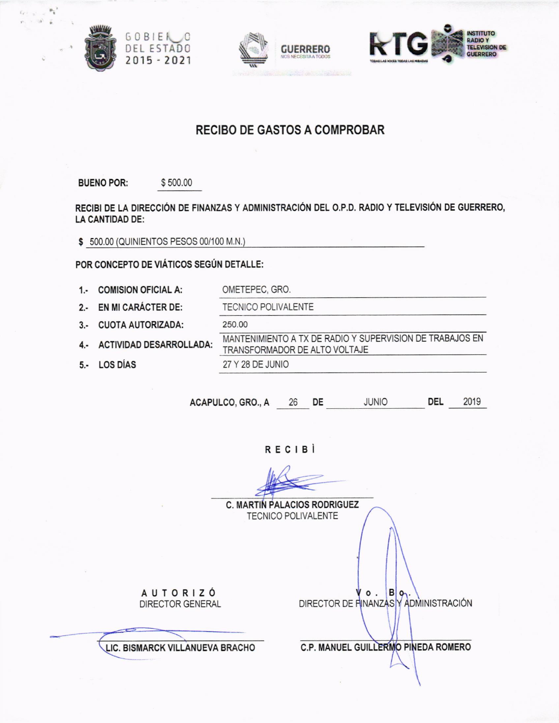

JO.

S.





## **RECIBO DE GASTOS A COMPROBAR**

**BUENO POR:** \$500.00

RECIBI DE LA DIRECCIÓN DE FINANZAS Y ADMINISTRACIÓN DEL O.P.D. RADIO Y TELEVISIÓN DE GUERRERO, **LA CANTIDAD DE:** 

OMETEPEC, GRO.

\$ 500.00 (QUINIENTOS PESOS 00/100 M.N.)

POR CONCEPTO DE VIÁTICOS SEGÚN DETALLE:

1. COMISION OFICIAL A:

2.- EN MI CARÁCTER DE: TECNICO POLIVALENTE

- 3.- CUOTA AUTORIZADA:
- 

4.- ACTIVIDAD DESARROLLADA:

5.- LOS DÍAS

250.00 MANTENIMIENTO A TX DE RADIO Y SUPERVISION DE TRABAJOS EN TRANSFORMADOR DE ALTO VOLTAJE 27 Y 28 DE JUNIO

ACAPULCO, GRO., A 26 DE JUNIO **DEL** 2019

RECIBI

|                                            | <b>C. MARTIN PALACIOS RODRIGUEZ</b><br><b>TECNICO POLIVALENTE</b>    |
|--------------------------------------------|----------------------------------------------------------------------|
|                                            |                                                                      |
| <b>AUTORIZÓ</b><br><b>DIRECTOR GENERAL</b> | $V \circ . \circ B \circ .$<br>DIRECTOR DE FINANZAS Y ADMINISTRACIÓN |
| LIC. BISMARCK VILLANUEVA BRACHO            | C.P. MANUEL GUILLERMO PINEDA ROMERO                                  |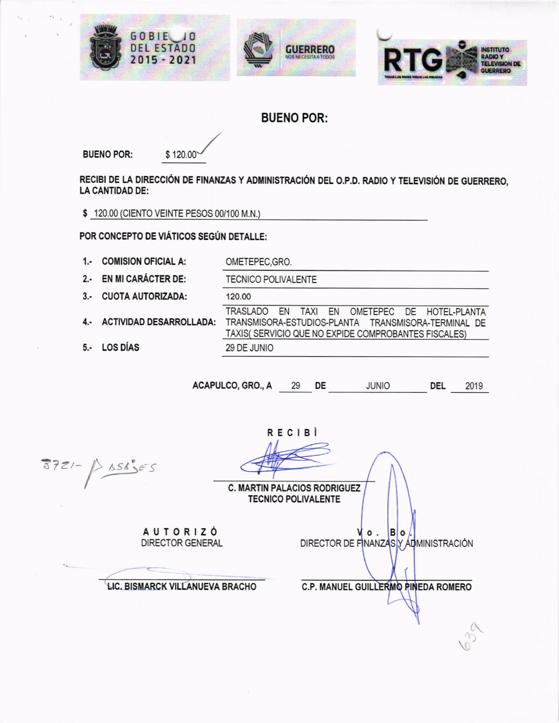





## **BUENO POR:**

**BUENO POR:** 

\$120.00

RECIBI DE LA DIRECCIÓN DE FINANZAS Y ADMINISTRACIÓN DEL O.P.D. RADIO Y TELEVISIÓN DE GUERRERO, **LA CANTIDAD DE:** 

\$120.00 (CIENTO VEINTE PESOS 00/100 M.N.)

POR CONCEPTO DE VIÁTICOS SEGÚN DETALLE:

1.- COMISION OFICIAL A: OMETEPEC, GRO. 2.- EN MI CARÁCTER DE: **TECNICO POLIVALENTE** 3.- CUOTA AUTORIZADA: 120.00 TRASLADO EN TAXI EN OMETEPEC DE HOTEL-PLANTA 4.- ACTIVIDAD DESARROLLADA: TRANSMISORA-ESTUDIOS-PLANTA TRANSMISORA-TERMINAL DE TAXIS( SERVICIO QUE NO EXPIDE COMPROBANTES FISCALES) 5.- LOS DÍAS 29 DE JUNIO

> ACAPULCO, GRO., A 29 DE JUNIO **DEL** 2019

 $P$   $156555$ 

**RECIBI** 

**C. MARTIN PALACIOS RODRIGUEZ TECNICO POLIVALENTE** 

**AUTORIZÓ DIRECTOR GENERAL** 

**LIC. BISMARCK VILLANUEVA BRACHO** 

**C.P. MANUEL GUILLERMO PINEDA ROMERO** 

 $\circ$ . DIRECTOR DE FINANZAS Y ADMINISTRACIÓN

 $B<sub>o</sub>$